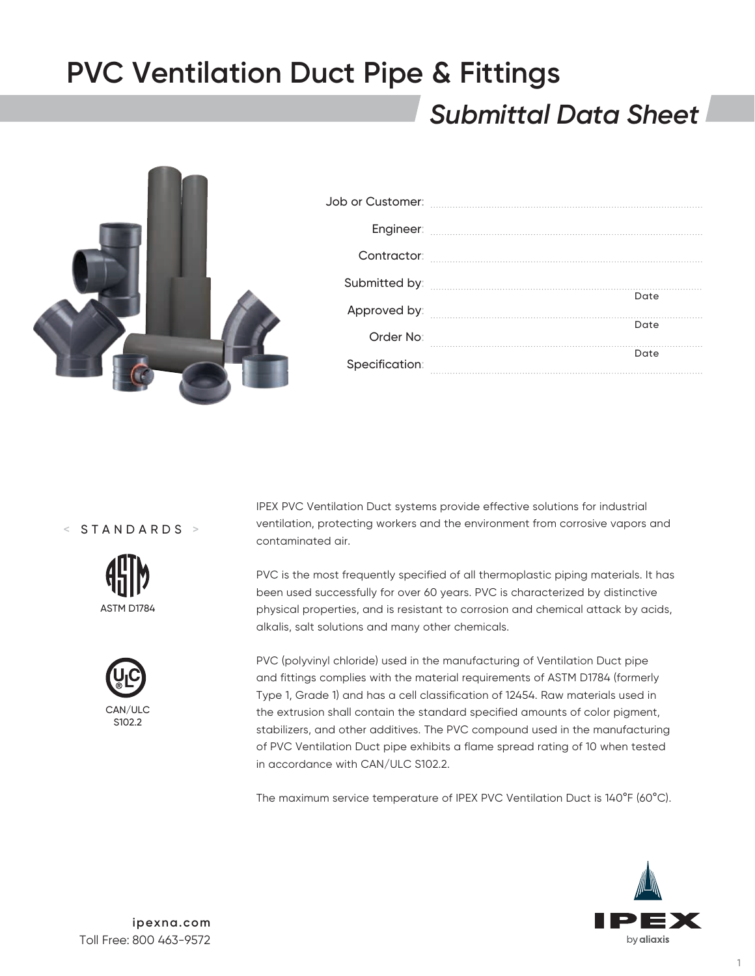### *Submittal Data Sheet*



< STANDARDS >





IPEX PVC Ventilation Duct systems provide effective solutions for industrial ventilation, protecting workers and the environment from corrosive vapors and contaminated air.

PVC is the most frequently specified of all thermoplastic piping materials. It has been used successfully for over 60 years. PVC is characterized by distinctive physical properties, and is resistant to corrosion and chemical attack by acids, alkalis, salt solutions and many other chemicals.

PVC (polyvinyl chloride) used in the manufacturing of Ventilation Duct pipe and fittings complies with the material requirements of ASTM D1784 (formerly Type 1, Grade 1) and has a cell classification of 12454. Raw materials used in the extrusion shall contain the standard specified amounts of color pigment, stabilizers, and other additives. The PVC compound used in the manufacturing of PVC Ventilation Duct pipe exhibits a flame spread rating of 10 when tested in accordance with CAN/ULC S102.2.

The maximum service temperature of IPEX PVC Ventilation Duct is 140°F (60°C).

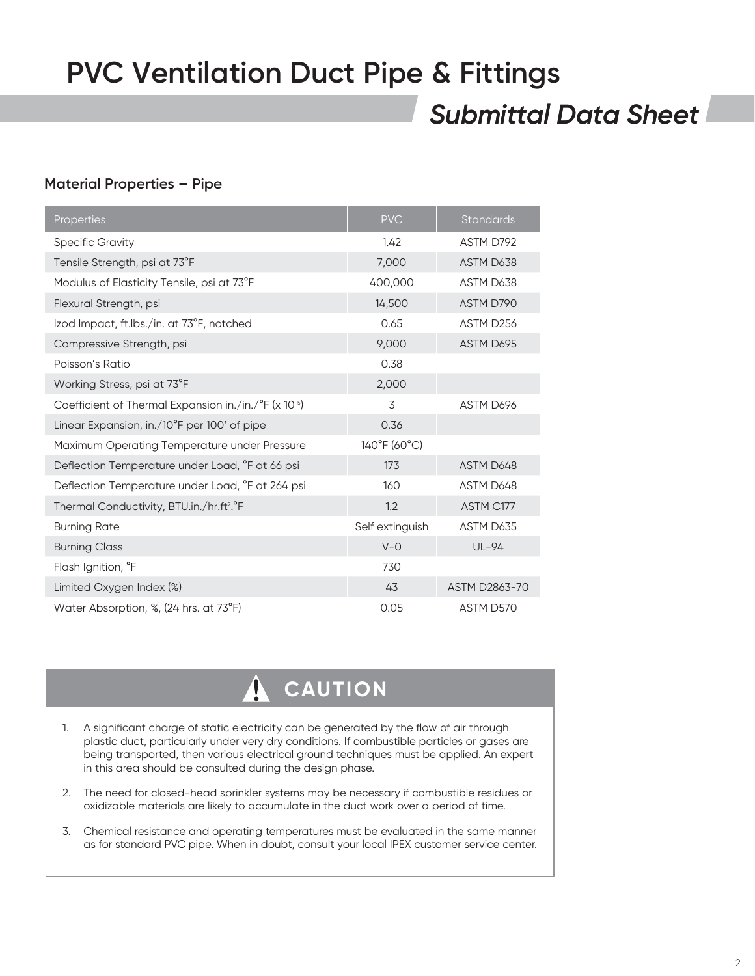### *Submittal Data Sheet*

### **Material Properties – Pipe**

| Properties                                                        | <b>PVC</b>      | <b>Standards</b> |
|-------------------------------------------------------------------|-----------------|------------------|
| <b>Specific Gravity</b>                                           | 1.42            | ASTM D792        |
| Tensile Strength, psi at 73°F                                     | 7,000           | ASTM D638        |
| Modulus of Elasticity Tensile, psi at 73°F                        | 400,000         | ASTM D638        |
| Flexural Strength, psi                                            | 14,500          | ASTM D790        |
| Izod Impact, ft.Ibs./in. at 73°F, notched                         | 0.65            | ASTM D256        |
| Compressive Strength, psi                                         | 9,000           | ASTM D695        |
| Poisson's Ratio                                                   | 0.38            |                  |
| Working Stress, psi at 73°F                                       | 2,000           |                  |
| Coefficient of Thermal Expansion in./in./°F (x 10-5)              | 3               | ASTM D696        |
| Linear Expansion, in./10°F per 100' of pipe                       | 0.36            |                  |
| Maximum Operating Temperature under Pressure                      | 140°F (60°C)    |                  |
| Deflection Temperature under Load, °F at 66 psi                   | 173             | ASTM D648        |
| Deflection Temperature under Load, °F at 264 psi                  | 160             | ASTM D648        |
| Thermal Conductivity, BTU.in./hr.ft <sup>2</sup> . <sup>o</sup> F | 1.2             | ASTM C177        |
| <b>Burning Rate</b>                                               | Self extinguish | ASTM D635        |
| <b>Burning Class</b>                                              | $V - O$         | UL-94            |
| Flash Ignition, °F                                                | 730             |                  |
| Limited Oxygen Index (%)                                          | 43              | ASTM D2863-70    |
| Water Absorption, %, (24 hrs. at 73°F)                            | 0.05            | ASTM D570        |

#### $\hat{\mathbf{V}}$  **CAUTION**

- 1. A significant charge of static electricity can be generated by the flow of air through plastic duct, particularly under very dry conditions. If combustible particles or gases are being transported, then various electrical ground techniques must be applied. An expert in this area should be consulted during the design phase.
- 2. The need for closed-head sprinkler systems may be necessary if combustible residues or oxidizable materials are likely to accumulate in the duct work over a period of time.
- 3. Chemical resistance and operating temperatures must be evaluated in the same manner as for standard PVC pipe. When in doubt, consult your local IPEX customer service center.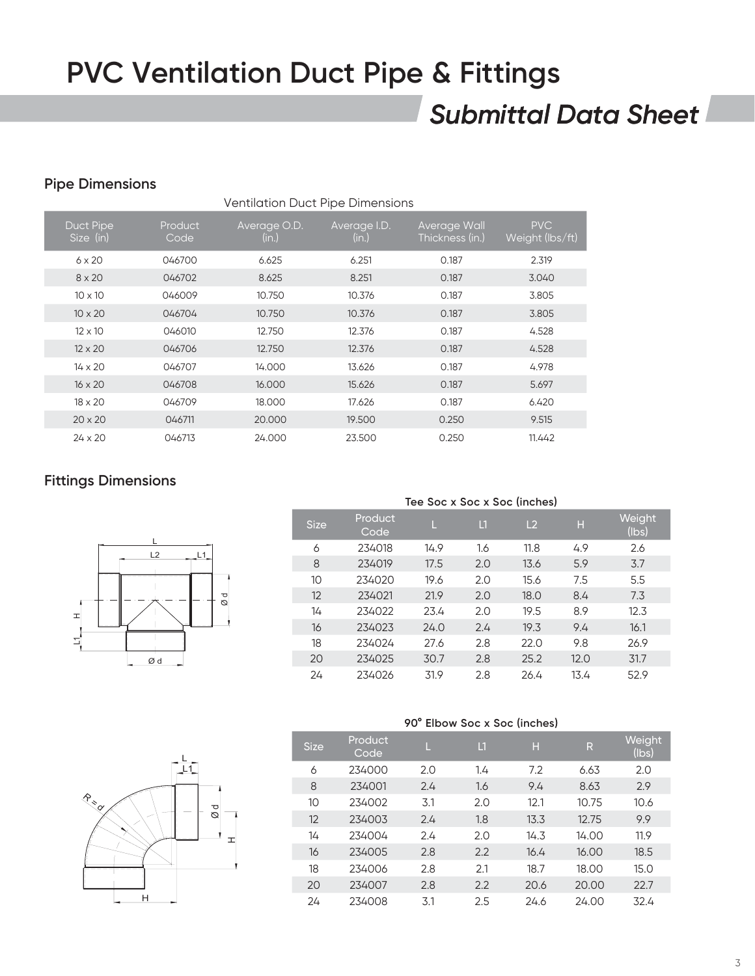### *Submittal Data Sheet*

### **Pipe Dimensions**

| <b>Ventilation Duct Pipe Dimensions</b> |                 |                       |                       |                                 |                               |  |  |  |  |  |
|-----------------------------------------|-----------------|-----------------------|-----------------------|---------------------------------|-------------------------------|--|--|--|--|--|
| Duct Pipe<br>Size (in)                  | Product<br>Code | Average O.D.<br>(in.) | Average I.D.<br>(in.) | Average Wall<br>Thickness (in.) | <b>PVC</b><br>Weight (lbs/ft) |  |  |  |  |  |
| $6 \times 20$                           | 046700          | 6.625                 | 6.251                 | 0.187                           | 2.319                         |  |  |  |  |  |
| $8 \times 20$                           | 046702          | 8.625                 | 8.251                 | 0.187                           | 3.040                         |  |  |  |  |  |
| $10 \times 10$                          | 046009          | 10.750                | 10.376                | 0.187                           | 3.805                         |  |  |  |  |  |
| $10 \times 20$                          | 046704          | 10.750                | 10.376                | 0.187                           | 3.805                         |  |  |  |  |  |
| $12 \times 10$                          | 046010          | 12.750                | 12.376                | 0.187                           | 4.528                         |  |  |  |  |  |
| $12 \times 20$                          | 046706          | 12.750                | 12.376                | 0.187                           | 4.528                         |  |  |  |  |  |
| $14 \times 20$                          | 046707          | 14.000                | 13.626                | 0.187                           | 4.978                         |  |  |  |  |  |
| $16 \times 20$                          | 046708          | 16.000                | 15.626                | 0.187                           | 5.697                         |  |  |  |  |  |
| $18 \times 20$                          | 046709          | 18.000                | 17.626                | 0.187                           | 6.420                         |  |  |  |  |  |
| $20 \times 20$                          | 046711          | 20,000                | 19.500                | 0.250                           | 9.515                         |  |  |  |  |  |
| $24 \times 20$                          | 046713          | 24.000                | 23.500                | 0.250                           | 11.442                        |  |  |  |  |  |

### **Fittings Dimensions**



|             | THE SOC X SOC X SOC (INCHEST |      |               |                |      |                 |  |  |  |  |  |
|-------------|------------------------------|------|---------------|----------------|------|-----------------|--|--|--|--|--|
| <b>Size</b> | Product<br>Code              | Ц    | $\mathsf{L}1$ | L <sub>2</sub> | н    | Weight<br>(lbs) |  |  |  |  |  |
| 6           | 234018                       | 14.9 | 1.6           | 11.8           | 4.9  | 2.6             |  |  |  |  |  |
| 8           | 234019                       | 17.5 | 2.0           | 13.6           | 5.9  | 3.7             |  |  |  |  |  |
| 10          | 234020                       | 19.6 | 2.0           | 15.6           | 7.5  | 5.5             |  |  |  |  |  |
| 12          | 234021                       | 21.9 | 2.0           | 18.0           | 8.4  | 7.3             |  |  |  |  |  |
| 14          | 234022                       | 23.4 | 2.0           | 19.5           | 8.9  | 12.3            |  |  |  |  |  |
| 16          | 234023                       | 24.0 | 2.4           | 19.3           | 9.4  | 16.1            |  |  |  |  |  |
| 18          | 234024                       | 27.6 | 2.8           | 22.0           | 9.8  | 26.9            |  |  |  |  |  |
| 20          | 234025                       | 30.7 | 2.8           | 25.2           | 12.0 | 31.7            |  |  |  |  |  |
| 24          | 234026                       | 31.9 | 2.8           | 26.4           | 13.4 | 52.9            |  |  |  |  |  |



|             | 90° Elbow Soc x Soc (inches) |     |                         |      |       |                 |  |  |  |  |  |
|-------------|------------------------------|-----|-------------------------|------|-------|-----------------|--|--|--|--|--|
| <b>Size</b> | Product<br>Code              | L   | $\mathsf{L} \mathsf{1}$ | н    | R     | Weight<br>(Ibs) |  |  |  |  |  |
| 6           | 234000                       | 2.0 | 1.4                     | 7.2  | 6.63  | 2.0             |  |  |  |  |  |
| 8           | 234001                       | 2.4 | 1.6                     | 9.4  | 8.63  | 2.9             |  |  |  |  |  |
| 10          | 234002                       | 3.1 | 2.0                     | 12.1 | 10.75 | 10.6            |  |  |  |  |  |
| 12          | 234003                       | 2.4 | 1.8                     | 13.3 | 12.75 | 9.9             |  |  |  |  |  |
| 14          | 234004                       | 2.4 | 2.0                     | 14.3 | 14.00 | 11.9            |  |  |  |  |  |
| 16          | 234005                       | 2.8 | 2.2                     | 16.4 | 16.00 | 18.5            |  |  |  |  |  |
| 18          | 234006                       | 2.8 | 2.1                     | 18.7 | 18.00 | 15.0            |  |  |  |  |  |
| 20          | 234007                       | 2.8 | 2.2                     | 20.6 | 20.00 | 22.7            |  |  |  |  |  |
| 24          | 234008                       | 3.1 | 2.5                     | 24.6 | 24.00 | 32.4            |  |  |  |  |  |

#### **Tee Soc x Soc x Soc (inches)**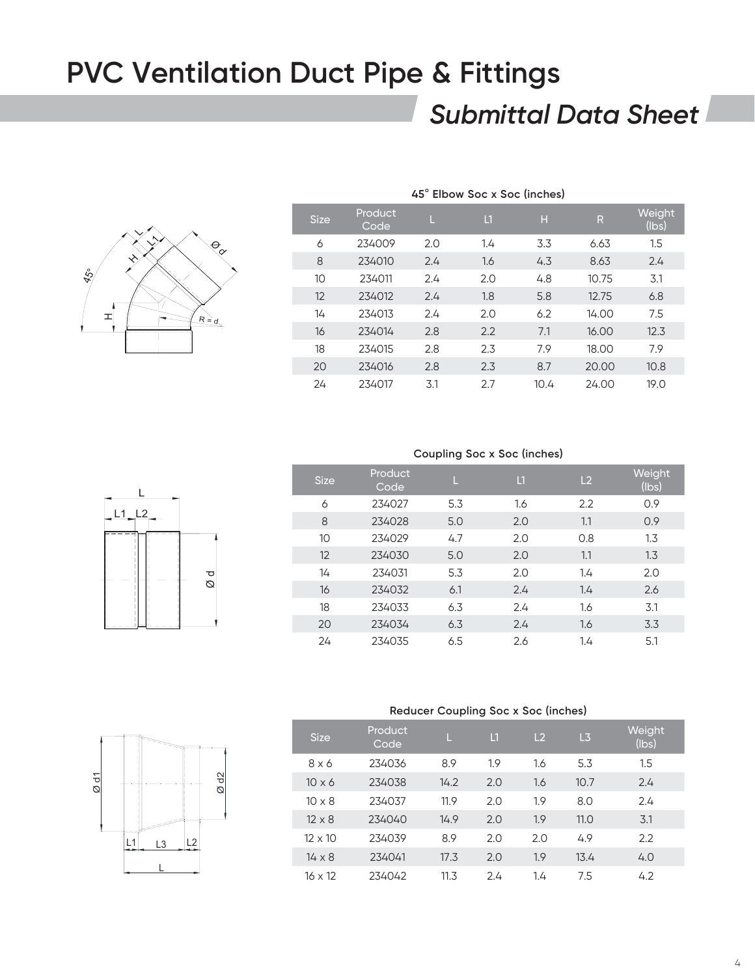### *Submittal Data Sheet*



| <b>Size</b>     | Product<br>Code | Ш   | $\mathsf{L}1$ | н    | R     | Weight<br>(lbs) |
|-----------------|-----------------|-----|---------------|------|-------|-----------------|
| 6               | 234009          | 2.0 | 1.4           | 3.3  | 6.63  | 1.5             |
| 8               | 234010          | 2.4 | 1.6           | 4.3  | 8.63  | 2.4             |
| 10 <sup>°</sup> | 234011          | 2.4 | 2.0           | 4.8  | 10.75 | 3.1             |
| 12              | 234012          | 2.4 | 1.8           | 5.8  | 12.75 | 6.8             |
| 14              | 234013          | 2.4 | 2.0           | 6.2  | 14.00 | 7.5             |
| 16              | 234014          | 2.8 | 2.2           | 7.1  | 16.00 | 12.3            |
| 18              | 234015          | 2.8 | 2.3           | 7.9  | 18.00 | 7.9             |
| 20              | 234016          | 2.8 | 2.3           | 8.7  | 20.00 | 10.8            |
| 24              | 234017          | 3.1 | 2.7           | 10.4 | 24.00 | 19.0            |

#### **45**° **Elbow Soc x Soc (inches)**

#### **Coupling Soc x Soc (inches)**

| <b>Size</b> | Product<br>Code | Ш   | $\mathsf{L}1$ | L <sub>2</sub> | Weight<br>(lbs) |
|-------------|-----------------|-----|---------------|----------------|-----------------|
| 6           | 234027          | 5.3 | 1.6           | 2.2            | 0.9             |
| 8           | 234028          | 5.0 | 2.0           | 1.1            | 0.9             |
| 10          | 234029          | 4.7 | 2.0           | 0.8            | 1.3             |
| 12          | 234030          | 5.0 | 2.0           | 1.1            | 1.3             |
| 14          | 234031          | 5.3 | 2.0           | 1.4            | 2.0             |
| 16          | 234032          | 6.1 | 2.4           | 1.4            | 2.6             |
| 18          | 234033          | 6.3 | 2.4           | 1.6            | 3.1             |
| 20          | 234034          | 6.3 | 2.4           | 1.6            | 3.3             |
| 24          | 234035          | 6.5 | 2.6           | 1.4            | 5.1             |



#### **Reducer Coupling Soc x Soc (inches)**

| <b>Size</b>    | Product<br>Code | Ц    | $\mathbf{L}$ | L <sub>2</sub> | L3   | Weight<br>(Ibs) |
|----------------|-----------------|------|--------------|----------------|------|-----------------|
| $8 \times 6$   | 234036          | 8.9  | 1.9          | 1.6            | 5.3  | 1.5             |
| $10 \times 6$  | 234038          | 14.2 | 2.0          | 1.6            | 10.7 | 2.4             |
| $10 \times 8$  | 234037          | 11.9 | 2.0          | 1.9            | 8.0  | 2.4             |
| $12 \times 8$  | 234040          | 14.9 | 2.0          | 1.9            | 11.0 | 3.1             |
| $12 \times 10$ | 234039          | 8.9  | 2.0          | 2.0            | 4.9  | 2.2             |
| $14 \times 8$  | 234041          | 17.3 | 2.0          | 1.9            | 13.4 | 4.0             |
| $16 \times 12$ | 234042          | 11.3 | 24           | 1.4            | 7.5  | 4.2             |

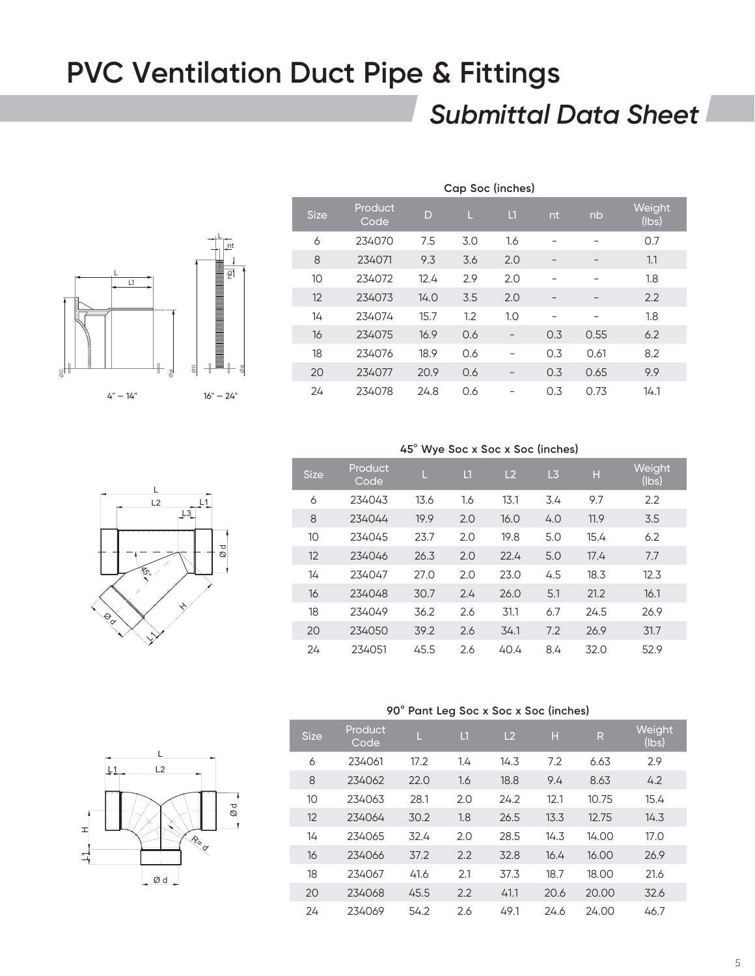### *Submittal Data Sheet*



| Cap Soc (inches)                                                                         |        |      |     |     |     |                          |      |  |  |  |
|------------------------------------------------------------------------------------------|--------|------|-----|-----|-----|--------------------------|------|--|--|--|
| Product<br>Weight<br>$\mathbf{L}$<br><b>Size</b><br>D<br>L<br>nb<br>nt.<br>(lbs)<br>Code |        |      |     |     |     |                          |      |  |  |  |
| 6                                                                                        | 234070 | 7.5  | 3.0 | 1.6 |     |                          | 0.7  |  |  |  |
| 8                                                                                        | 234071 | 9.3  | 3.6 | 2.0 |     |                          | 1.1  |  |  |  |
| 10                                                                                       | 234072 | 12.4 | 2.9 | 2.0 |     |                          | 1.8  |  |  |  |
| 12                                                                                       | 234073 | 14.0 | 3.5 | 2.0 | -   | $\overline{\phantom{m}}$ | 2.2  |  |  |  |
| 14                                                                                       | 234074 | 15.7 | 1.2 | 1.0 | -   | $\overline{\phantom{0}}$ | 1.8  |  |  |  |
| 16                                                                                       | 234075 | 16.9 | 0.6 |     | 0.3 | 0.55                     | 6.2  |  |  |  |
| 18                                                                                       | 234076 | 18.9 | 0.6 |     | 0.3 | 0.61                     | 8.2  |  |  |  |
| 20                                                                                       | 234077 | 20.9 | 0.6 |     | 0.3 | 0.65                     | 9.9  |  |  |  |
| 24                                                                                       | 234078 | 24.8 | 0.6 |     | 0.3 | 0.73                     | 14.1 |  |  |  |



| 45° Wye Soc x Soc x Soc (inches) |  |  |  |
|----------------------------------|--|--|--|
|----------------------------------|--|--|--|

| <b>Size</b> | Product<br>Code | П    | $\mathsf{L}$ | L <sub>2</sub> | L3  | н    | Weight<br>(Ibs) |
|-------------|-----------------|------|--------------|----------------|-----|------|-----------------|
| 6           | 234043          | 13.6 | 1.6          | 13.1           | 3.4 | 9.7  | 2.2             |
| 8           | 234044          | 19.9 | 2.0          | 16.0           | 4.0 | 11.9 | 3.5             |
| 10          | 234045          | 23.7 | 2.0          | 19.8           | 5.0 | 15.4 | 6.2             |
| 12          | 234046          | 26.3 | 2.0          | 22.4           | 5.0 | 17.4 | 7.7             |
| 14          | 234047          | 27.0 | 2.0          | 23.0           | 4.5 | 18.3 | 12.3            |
| 16          | 234048          | 30.7 | 2.4          | 26.0           | 5.1 | 21.2 | 16.1            |
| 18          | 234049          | 36.2 | 2.6          | 31.1           | 6.7 | 24.5 | 26.9            |
| 20          | 234050          | 39.2 | 2.6          | 34.1           | 7.2 | 26.9 | 31.7            |
| 24          | 234051          | 45.5 | 2.6          | 40.4           | 8.4 | 32.0 | 52.9            |

#### **90**° **Pant Leg Soc x Soc x Soc (inches)**

| <b>Size</b> | Product<br>Code | П    | $\mathsf{L}$ 1 | L <sub>2</sub> | н    | $\mathsf{R}$ | Weight<br>(Ibs) |
|-------------|-----------------|------|----------------|----------------|------|--------------|-----------------|
| 6           | 234061          | 17.2 | 1.4            | 14.3           | 7.2  | 6.63         | 2.9             |
| 8           | 234062          | 22.0 | 1.6            | 18.8           | 9.4  | 8.63         | 4.2             |
| 10          | 234063          | 28.1 | 2.0            | 24.2           | 12.1 | 10.75        | 15.4            |
| 12          | 234064          | 30.2 | 1.8            | 26.5           | 13.3 | 12.75        | 14.3            |
| 14          | 234065          | 32.4 | 2.0            | 28.5           | 14.3 | 14.00        | 17.0            |
| 16          | 234066          | 37.2 | 2.2            | 32.8           | 16.4 | 16.00        | 26.9            |
| 18          | 234067          | 41.6 | 2.1            | 37.3           | 18.7 | 18.00        | 21.6            |
| 20          | 234068          | 45.5 | 2.2            | 41.1           | 20.6 | 20.00        | 32.6            |
| 24          | 234069          | 54.2 | 2.6            | 49.1           | 24.6 | 24.00        | 46.7            |

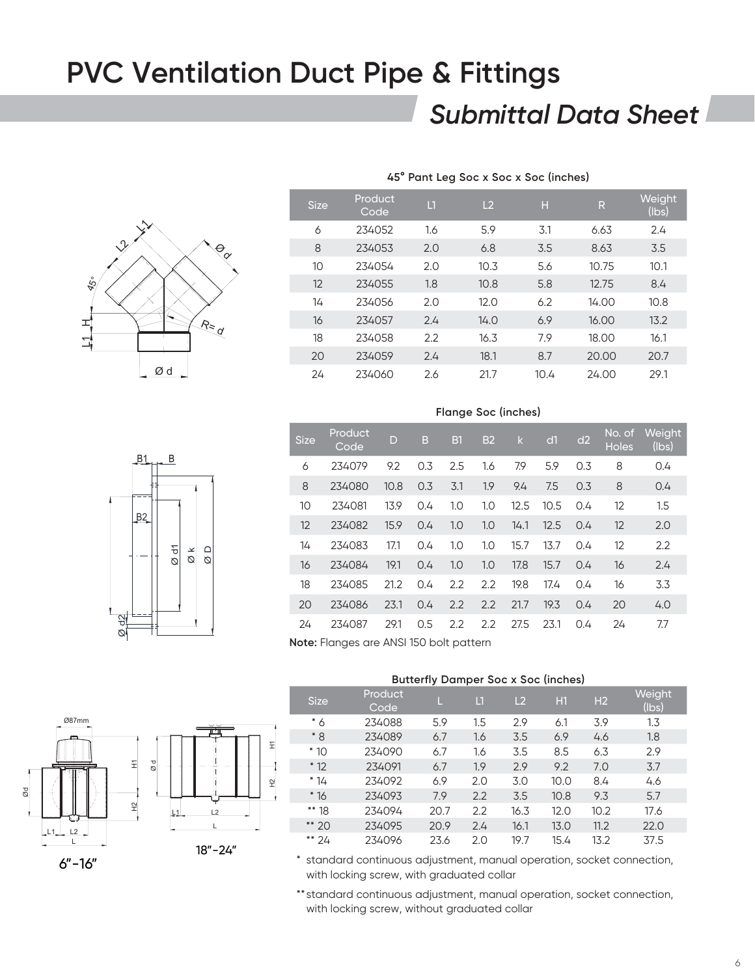### *Submittal Data Sheet*



|         | <b>Size</b> | Product<br>Code | $\Box$ | L2   | П    | R     | Weight<br>$($ lbs $)$ |
|---------|-------------|-----------------|--------|------|------|-------|-----------------------|
|         | 6           | 234052          | 1.6    | 5.9  | 3.1  | 6.63  | 2.4                   |
|         | 8           | 234053          | 2.0    | 6.8  | 3.5  | 8.63  | 3.5                   |
|         | 10          | 234054          | 2.0    | 10.3 | 5.6  | 10.75 | 10.1                  |
|         | 12          | 234055          | 1.8    | 10.8 | 5.8  | 12.75 | 8.4                   |
|         | 14          | 234056          | 2.0    | 12.0 | 6.2  | 14.00 | 10.8                  |
| $R = q$ | 16          | 234057          | 2.4    | 14.0 | 6.9  | 16.00 | 13.2                  |
|         | 18          | 234058          | 2.2    | 16.3 | 7.9  | 18.00 | 16.1                  |
|         | 20          | 234059          | 2.4    | 18.1 | 8.7  | 20.00 | 20.7                  |
| Ød      | 24          | 234060          | 2.6    | 21.7 | 10.4 | 24.00 | 29.1                  |

**45° Pant Leg Soc x Soc x Soc (inches)**

### **Flange Soc (inches)**

|      | Β1             | B                |                        |        |
|------|----------------|------------------|------------------------|--------|
|      | B <sub>2</sub> |                  |                        |        |
|      |                | $\varnothing$ d1 | $\frac{\alpha}{\beta}$ | $\Box$ |
|      |                |                  |                        |        |
| Ø d2 |                |                  |                        |        |

| <b>Size</b> | Product<br>Code | D    | B   | B1  | <b>B2</b> | $\mathsf{k}$ | d1   | d2  | No. of<br><b>Holes</b> | <b>Weight</b><br>(lbs) |
|-------------|-----------------|------|-----|-----|-----------|--------------|------|-----|------------------------|------------------------|
| 6           | 234079          | 9.2  | 0.3 | 2.5 | 1.6       | 7.9          | 5.9  | 0.3 | 8                      | 0.4                    |
| 8           | 234080          | 10.8 | 0.3 | 3.1 | 1.9       | 9.4          | 7.5  | 0.3 | 8                      | 0.4                    |
| 10          | 234081          | 13.9 | 0.4 | 1.0 | 1.0       | 12.5         | 10.5 | 0.4 | 12                     | 1.5                    |
| 12          | 234082          | 15.9 | 0.4 | 1.0 | 1.0       | 14.1         | 12.5 | 0.4 | 12                     | 2.0                    |
| 14          | 234083          | 17.1 | 0.4 | 1.0 | 1.0       | 15.7         | 13.7 | 0.4 | 12                     | 2.2                    |
| 16          | 234084          | 19.1 | 0.4 | 1.0 | 1.0       | 17.8         | 15.7 | 0.4 | 16                     | 2.4                    |
| 18          | 234085          | 21.2 | 0.4 | 2.2 | 2.2       | 19.8         | 17.4 | 0.4 | 16                     | 3.3                    |
| 20          | 234086          | 23.1 | 0.4 | 2.2 | 2.2       | 21.7         | 19.3 | 0.4 | 20                     | 4.0                    |
| 24          | 234087          | 29.1 | 0.5 | 2.2 | 2.2       | 27.5         | 23.1 | 0.4 | 24                     | 7.7                    |
| .           | $-1$            |      |     |     |           |              |      |     |                        |                        |

**Note:** Flanges are ANSI 150 bolt pattern

#### **Butterfly Damper Soc x Soc (inches)**

| <b>Size</b> | Product<br>Code | L    | $\mathsf{L}1$ | L <sub>2</sub> | H1   | H <sub>2</sub> | Weight<br>(lbs) |
|-------------|-----------------|------|---------------|----------------|------|----------------|-----------------|
| $*6$        | 234088          | 5.9  | 1.5           | 2.9            | 6.1  | 3.9            | 1.3             |
| $*8$        | 234089          | 6.7  | 1.6           | 3.5            | 6.9  | 4.6            | 1.8             |
| $*10$       | 234090          | 6.7  | 1.6           | 3.5            | 8.5  | 6.3            | 2.9             |
| $*12$       | 234091          | 6.7  | 1.9           | 2.9            | 9.2  | 7.0            | 3.7             |
| $*14$       | 234092          | 6.9  | 2.0           | 3.0            | 10.0 | 8.4            | 4.6             |
| $*16$       | 234093          | 7.9  | 2.2           | 3.5            | 10.8 | 9.3            | 5.7             |
| ** 18       | 234094          | 20.7 | 2.2           | 16.3           | 12.0 | 10.2           | 17.6            |
| ** 20       | 234095          | 20.9 | 2.4           | 16.1           | 13.0 | 11.2           | 22.0            |
| ** 24       | 234096          | 23.6 | 2.0           | 19.7           | 15.4 | 13.2           | 37.5            |

\* standard continuous adjustment, manual operation, socket connection, with locking screw, with graduated collar

\*\*standard continuous adjustment, manual operation, socket connection, with locking screw, without graduated collar





 $\Xi$ 

 $\mathfrak{P}$ 

6"-16"

Ø87m

Ød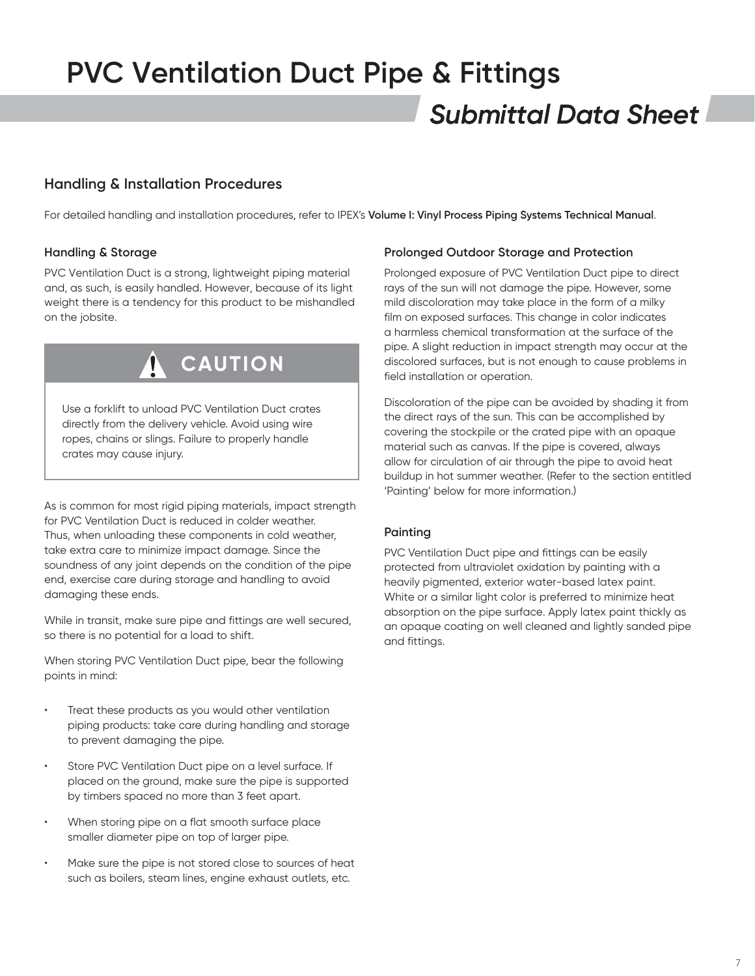### *Submittal Data Sheet* **PVC Ventilation Duct Pipe & Fittings**

### **Handling & Installation Procedures**

For detailed handling and installation procedures, refer to IPEX's **Volume I: Vinyl Process Piping Systems Technical Manual**.

#### **Handling & Storage**

PVC Ventilation Duct is a strong, lightweight piping material and, as such, is easily handled. However, because of its light weight there is a tendency for this product to be mishandled on the jobsite.



Use a forklift to unload PVC Ventilation Duct crates directly from the delivery vehicle. Avoid using wire ropes, chains or slings. Failure to properly handle crates may cause injury.

As is common for most rigid piping materials, impact strength for PVC Ventilation Duct is reduced in colder weather. Thus, when unloading these components in cold weather, take extra care to minimize impact damage. Since the soundness of any joint depends on the condition of the pipe end, exercise care during storage and handling to avoid damaging these ends.

While in transit, make sure pipe and fittings are well secured, so there is no potential for a load to shift.

When storing PVC Ventilation Duct pipe, bear the following points in mind:

- Treat these products as you would other ventilation piping products: take care during handling and storage to prevent damaging the pipe.
- Store PVC Ventilation Duct pipe on a level surface. If placed on the ground, make sure the pipe is supported by timbers spaced no more than 3 feet apart.
- When storing pipe on a flat smooth surface place smaller diameter pipe on top of larger pipe.
- Make sure the pipe is not stored close to sources of heat such as boilers, steam lines, engine exhaust outlets, etc.

#### **Prolonged Outdoor Storage and Protection**

Prolonged exposure of PVC Ventilation Duct pipe to direct rays of the sun will not damage the pipe. However, some mild discoloration may take place in the form of a milky film on exposed surfaces. This change in color indicates a harmless chemical transformation at the surface of the pipe. A slight reduction in impact strength may occur at the discolored surfaces, but is not enough to cause problems in field installation or operation.

Discoloration of the pipe can be avoided by shading it from the direct rays of the sun. This can be accomplished by covering the stockpile or the crated pipe with an opaque material such as canvas. If the pipe is covered, always allow for circulation of air through the pipe to avoid heat buildup in hot summer weather. (Refer to the section entitled 'Painting' below for more information.)

#### **Painting**

PVC Ventilation Duct pipe and fittings can be easily protected from ultraviolet oxidation by painting with a heavily pigmented, exterior water-based latex paint. White or a similar light color is preferred to minimize heat absorption on the pipe surface. Apply latex paint thickly as an opaque coating on well cleaned and lightly sanded pipe and fittings.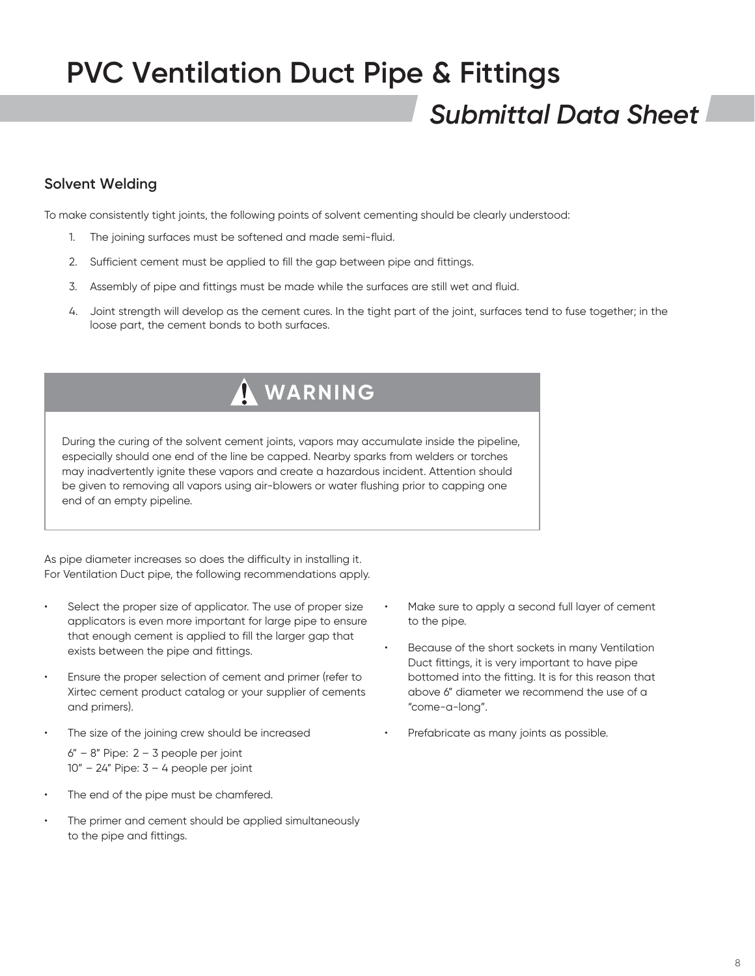### *Submittal Data Sheet*

### **Solvent Welding**

To make consistently tight joints, the following points of solvent cementing should be clearly understood:

- 1. The joining surfaces must be softened and made semi-fluid.
- 2. Sufficient cement must be applied to fill the gap between pipe and fittings.
- 3. Assembly of pipe and fittings must be made while the surfaces are still wet and fluid.
- 4. Joint strength will develop as the cement cures. In the tight part of the joint, surfaces tend to fuse together; in the loose part, the cement bonds to both surfaces.

### **WARNING**

During the curing of the solvent cement joints, vapors may accumulate inside the pipeline, especially should one end of the line be capped. Nearby sparks from welders or torches may inadvertently ignite these vapors and create a hazardous incident. Attention should be given to removing all vapors using air-blowers or water flushing prior to capping one end of an empty pipeline.

As pipe diameter increases so does the difficulty in installing it. For Ventilation Duct pipe, the following recommendations apply.

- Select the proper size of applicator. The use of proper size applicators is even more important for large pipe to ensure that enough cement is applied to fill the larger gap that exists between the pipe and fittings.
- Ensure the proper selection of cement and primer (refer to Xirtec cement product catalog or your supplier of cements and primers).
- The size of the joining crew should be increased

 $6" - 8"$  Pipe:  $2 - 3$  people per joint  $10" - 24"$  Pipe:  $3 - 4$  people per joint

- The end of the pipe must be chamfered.
- The primer and cement should be applied simultaneously to the pipe and fittings.
- Make sure to apply a second full layer of cement to the pipe.
- Because of the short sockets in many Ventilation Duct fittings, it is very important to have pipe bottomed into the fitting. It is for this reason that above 6" diameter we recommend the use of a "come-a-long".
- Prefabricate as many joints as possible.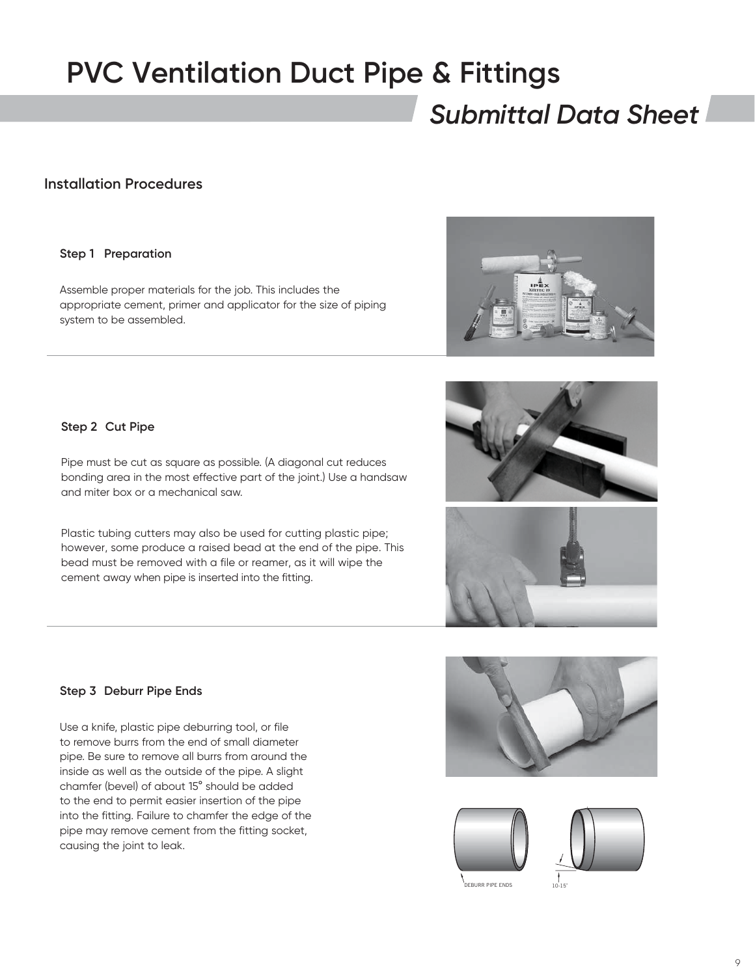### *Submittal Data Sheet*

#### **Installation Procedures**

#### **Step 1 Preparation**

Assemble proper materials for the job. This includes the appropriate cement, primer and applicator for the size of piping system to be assembled.



**Step 2 Cut Pipe**

Pipe must be cut as square as possible. (A diagonal cut reduces bonding area in the most effective part of the joint.) Use a handsaw and miter box or a mechanical saw.

Plastic tubing cutters may also be used for cutting plastic pipe; however, some produce a raised bead at the end of the pipe. This bead must be removed with a file or reamer, as it will wipe the cement away when pipe is inserted into the fitting.

**Step 3 Deburr Pipe Ends**

causing the joint to leak.

Use a knife, plastic pipe deburring tool, or file to remove burrs from the end of small diameter pipe. Be sure to remove all burrs from around the inside as well as the outside of the pipe. A slight chamfer (bevel) of about 15° should be added to the end to permit easier insertion of the pipe into the fitting. Failure to chamfer the edge of the

pipe may remove cement from the fitting socket,







10-15˚





**EBURR PIPE ENDS**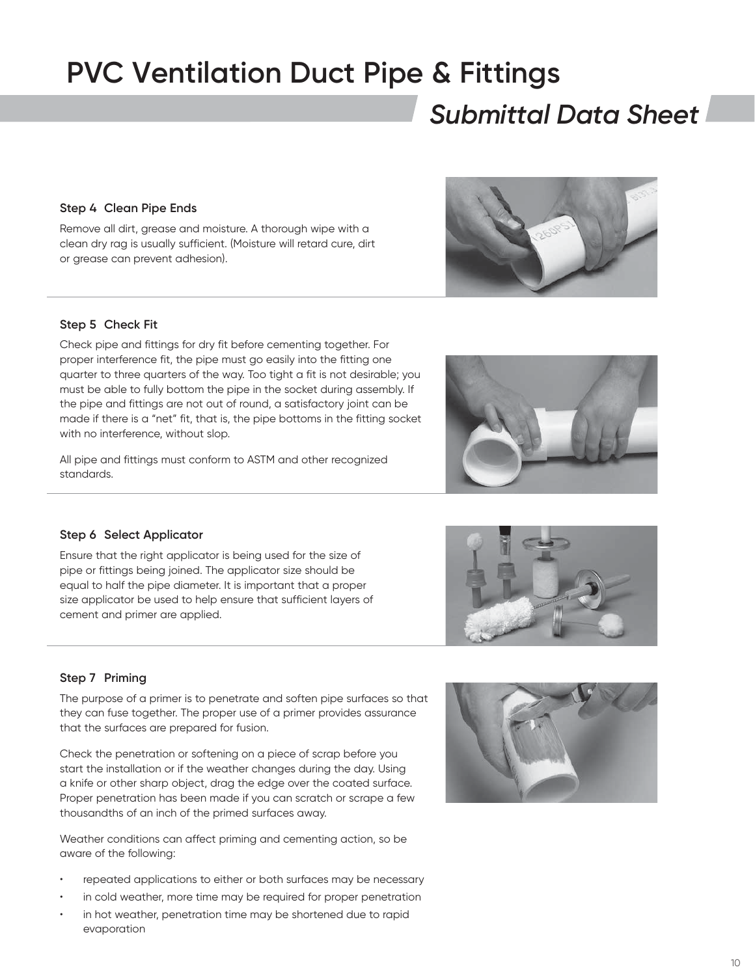### *Submittal Data Sheet*

#### **Step 4 Clean Pipe Ends**

Remove all dirt, grease and moisture. A thorough wipe with a clean dry rag is usually sufficient. (Moisture will retard cure, dirt or grease can prevent adhesion).

#### **Step 5 Check Fit**

Check pipe and fittings for dry fit before cementing together. For proper interference fit, the pipe must go easily into the fitting one quarter to three quarters of the way. Too tight a fit is not desirable; you must be able to fully bottom the pipe in the socket during assembly. If the pipe and fittings are not out of round, a satisfactory joint can be made if there is a "net" fit, that is, the pipe bottoms in the fitting socket with no interference, without slop.

All pipe and fittings must conform to ASTM and other recognized standards.

#### **Step 6 Select Applicator**

Ensure that the right applicator is being used for the size of pipe or fittings being joined. The applicator size should be equal to half the pipe diameter. It is important that a proper size applicator be used to help ensure that sufficient layers of cement and primer are applied.

#### **Step 7 Priming**

The purpose of a primer is to penetrate and soften pipe surfaces so that they can fuse together. The proper use of a primer provides assurance that the surfaces are prepared for fusion.

Check the penetration or softening on a piece of scrap before you start the installation or if the weather changes during the day. Using a knife or other sharp object, drag the edge over the coated surface. Proper penetration has been made if you can scratch or scrape a few thousandths of an inch of the primed surfaces away.

Weather conditions can affect priming and cementing action, so be aware of the following:

- repeated applications to either or both surfaces may be necessary
- in cold weather, more time may be required for proper penetration
- in hot weather, penetration time may be shortened due to rapid evaporation







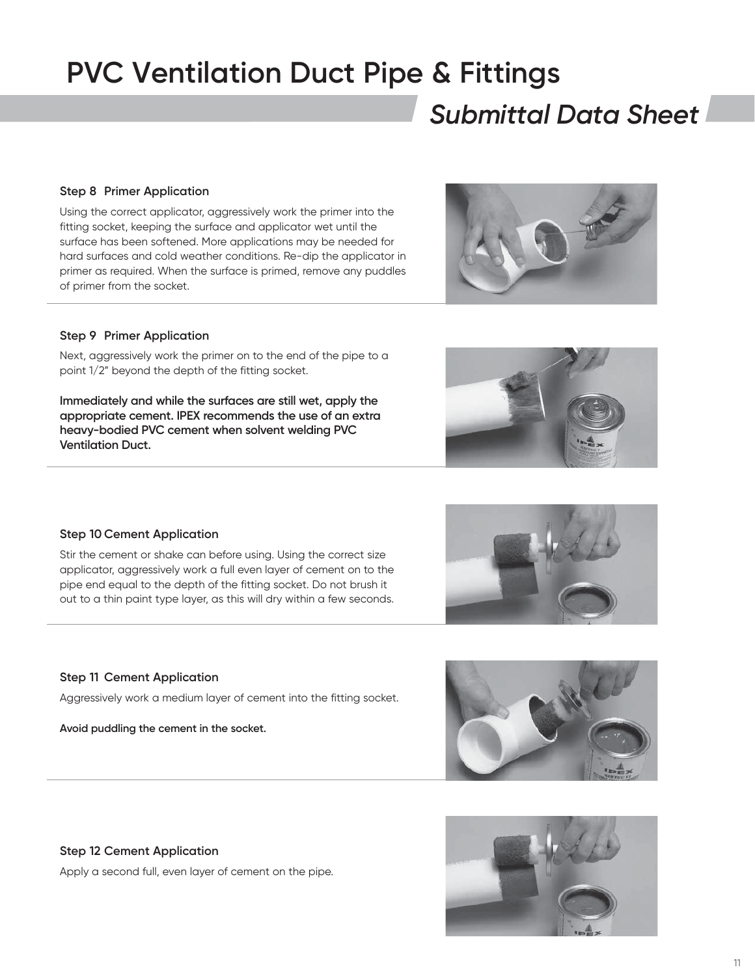### *Submittal Data Sheet*

#### **Step 8 Primer Application**

Using the correct applicator, aggressively work the primer into the fitting socket, keeping the surface and applicator wet until the surface has been softened. More applications may be needed for hard surfaces and cold weather conditions. Re-dip the applicator in primer as required. When the surface is primed, remove any puddles of primer from the socket.

#### **Step 9 Primer Application**

Next, aggressively work the primer on to the end of the pipe to a point 1/2" beyond the depth of the fitting socket.

**Immediately and while the surfaces are still wet, apply the appropriate cement. IPEX recommends the use of an extra heavy-bodied PVC cement when solvent welding PVC Ventilation Duct.**

#### **Step 10 Cement Application**

Stir the cement or shake can before using. Using the correct size applicator, aggressively work a full even layer of cement on to the pipe end equal to the depth of the fitting socket. Do not brush it out to a thin paint type layer, as this will dry within a few seconds.

#### **Step 11 Cement Application**

Aggressively work a medium layer of cement into the fitting socket.

**Avoid puddling the cement in the socket.**



Apply a second full, even layer of cement on the pipe.









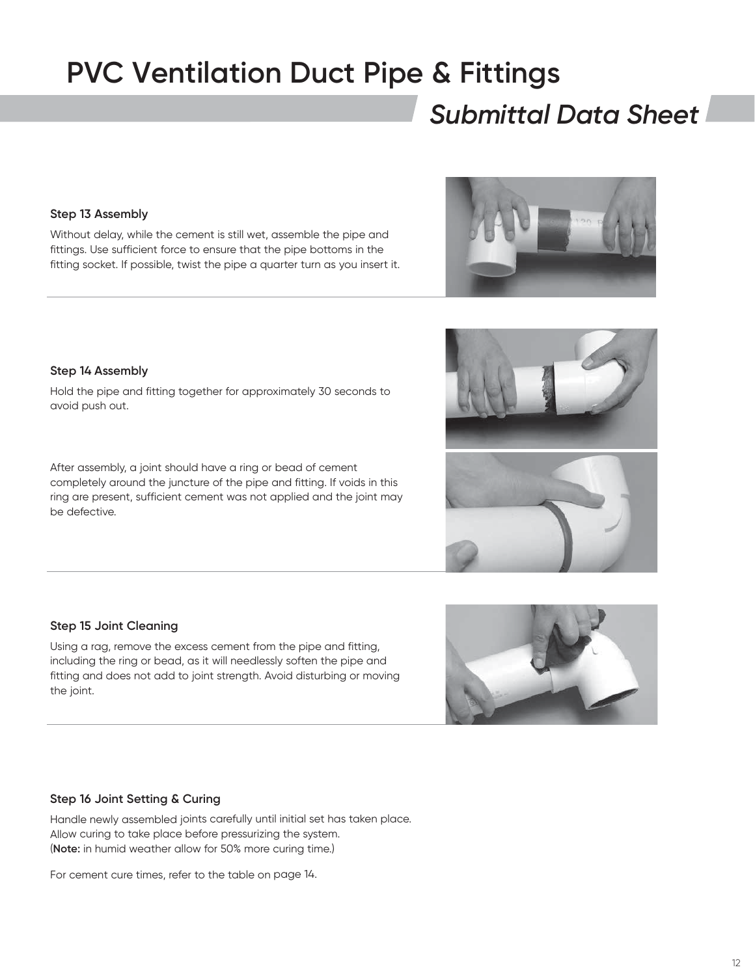### *Submittal Data Sheet*

#### **Step 13 Assembly**

Without delay, while the cement is still wet, assemble the pipe and fittings. Use sufficient force to ensure that the pipe bottoms in the fitting socket. If possible, twist the pipe a quarter turn as you insert it.

#### **Step 14 Assembly**

Hold the pipe and fitting together for approximately 30 seconds to avoid push out.

After assembly, a joint should have a ring or bead of cement completely around the juncture of the pipe and fitting. If voids in this ring are present, sufficient cement was not applied and the joint may be defective.

#### **Step 15 Joint Cleaning**

Using a rag, remove the excess cement from the pipe and fitting, including the ring or bead, as it will needlessly soften the pipe and fitting and does not add to joint strength. Avoid disturbing or moving the joint.

#### **Step 16 Joint Setting & Curing**

Handle newly assembled joints carefully until initial set has taken place. Allow curing to take place before pressurizing the system. (**Note:** in humid weather allow for 50% more curing time.)

For cement cure times, refer to the table on page 14.







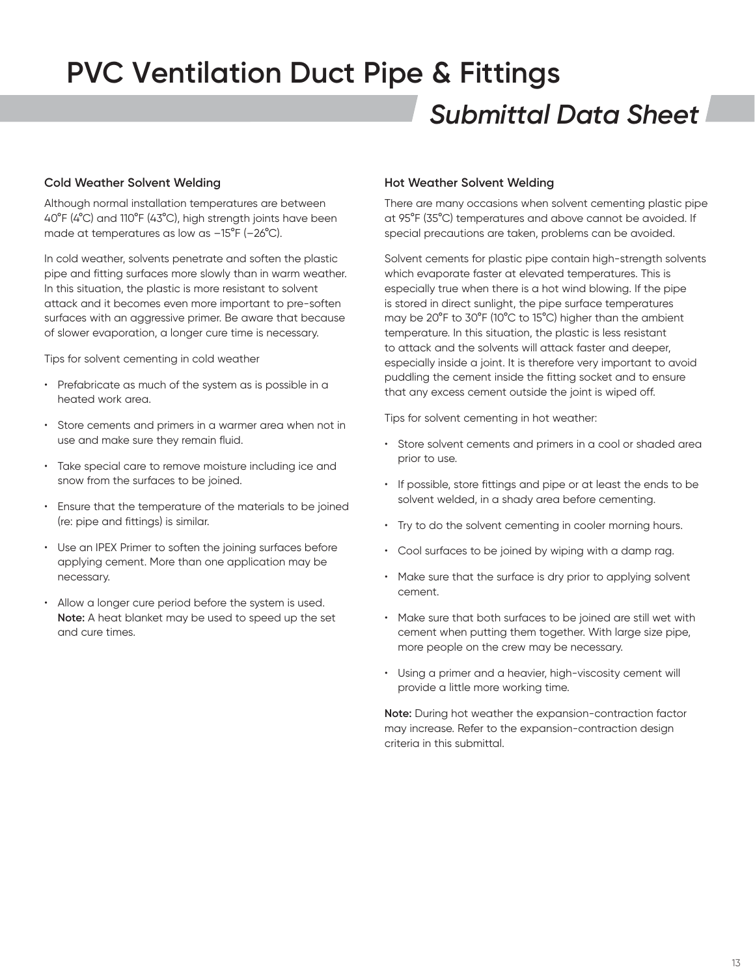### *Submittal Data Sheet* **PVC Ventilation Duct Pipe & Fittings**

#### **Cold Weather Solvent Welding**

Although normal installation temperatures are between 40°F (4°C) and 110°F (43°C), high strength joints have been made at temperatures as low as –15°F (–26°C).

In cold weather, solvents penetrate and soften the plastic pipe and fitting surfaces more slowly than in warm weather. In this situation, the plastic is more resistant to solvent attack and it becomes even more important to pre-soften surfaces with an aggressive primer. Be aware that because of slower evaporation, a longer cure time is necessary.

Tips for solvent cementing in cold weather

- Prefabricate as much of the system as is possible in a heated work area.
- Store cements and primers in a warmer area when not in use and make sure they remain fluid.
- Take special care to remove moisture including ice and snow from the surfaces to be joined.
- Ensure that the temperature of the materials to be joined (re: pipe and fittings) is similar.
- Use an IPEX Primer to soften the joining surfaces before applying cement. More than one application may be necessary.
- Allow a longer cure period before the system is used. **Note:** A heat blanket may be used to speed up the set and cure times.

#### **Hot Weather Solvent Welding**

There are many occasions when solvent cementing plastic pipe at 95°F (35°C) temperatures and above cannot be avoided. If special precautions are taken, problems can be avoided.

Solvent cements for plastic pipe contain high-strength solvents which evaporate faster at elevated temperatures. This is especially true when there is a hot wind blowing. If the pipe is stored in direct sunlight, the pipe surface temperatures may be 20°F to 30°F (10°C to 15°C) higher than the ambient temperature. In this situation, the plastic is less resistant to attack and the solvents will attack faster and deeper, especially inside a joint. It is therefore very important to avoid puddling the cement inside the fitting socket and to ensure that any excess cement outside the joint is wiped off.

Tips for solvent cementing in hot weather:

- Store solvent cements and primers in a cool or shaded area prior to use.
- If possible, store fittings and pipe or at least the ends to be solvent welded, in a shady area before cementing.
- Try to do the solvent cementing in cooler morning hours.
- Cool surfaces to be joined by wiping with a damp rag.
- Make sure that the surface is dry prior to applying solvent cement.
- Make sure that both surfaces to be joined are still wet with cement when putting them together. With large size pipe, more people on the crew may be necessary.
- Using a primer and a heavier, high-viscosity cement will provide a little more working time.

**Note:** During hot weather the expansion-contraction factor may increase. Refer to the expansion-contraction design criteria in this submittal.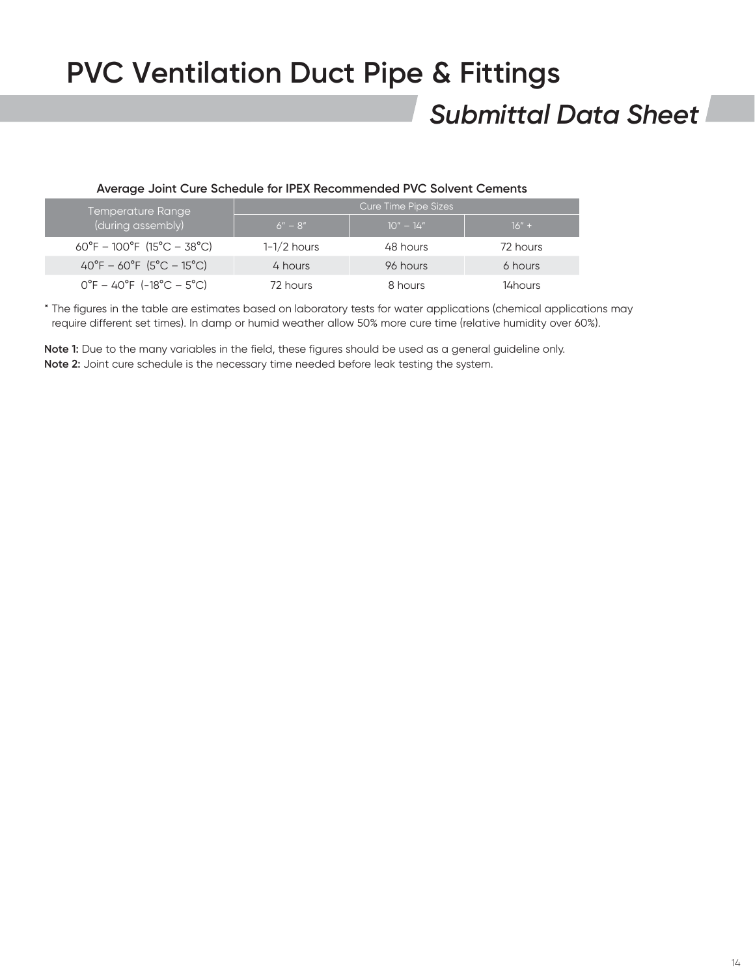### *Submittal Data Sheet*

#### **Average Joint Cure Schedule for IPEX Recommended PVC Solvent Cements**

| Temperature Range                          | Cure Time Pipe Sizes |             |          |  |  |  |
|--------------------------------------------|----------------------|-------------|----------|--|--|--|
| (during assembly)                          | $6'' - 8''$          | $10" - 14"$ | $16" +$  |  |  |  |
| $60^{\circ}F - 100^{\circ}F$ (15°C – 38°C) | $1-1/2$ hours        | 48 hours    | 72 hours |  |  |  |
| $40^{\circ}F - 60^{\circ}F$ (5°C – 15°C)   | 4 hours              | 96 hours    | 6 hours  |  |  |  |
| $0^{\circ}F - 40^{\circ}F$ (-18°C – 5°C)   | 72 hours             | 8 hours     | 14 hours |  |  |  |

\* The figures in the table are estimates based on laboratory tests for water applications (chemical applications may require different set times). In damp or humid weather allow 50% more cure time (relative humidity over 60%).

**Note 1:** Due to the many variables in the field, these figures should be used as a general guideline only. **Note 2:** Joint cure schedule is the necessary time needed before leak testing the system.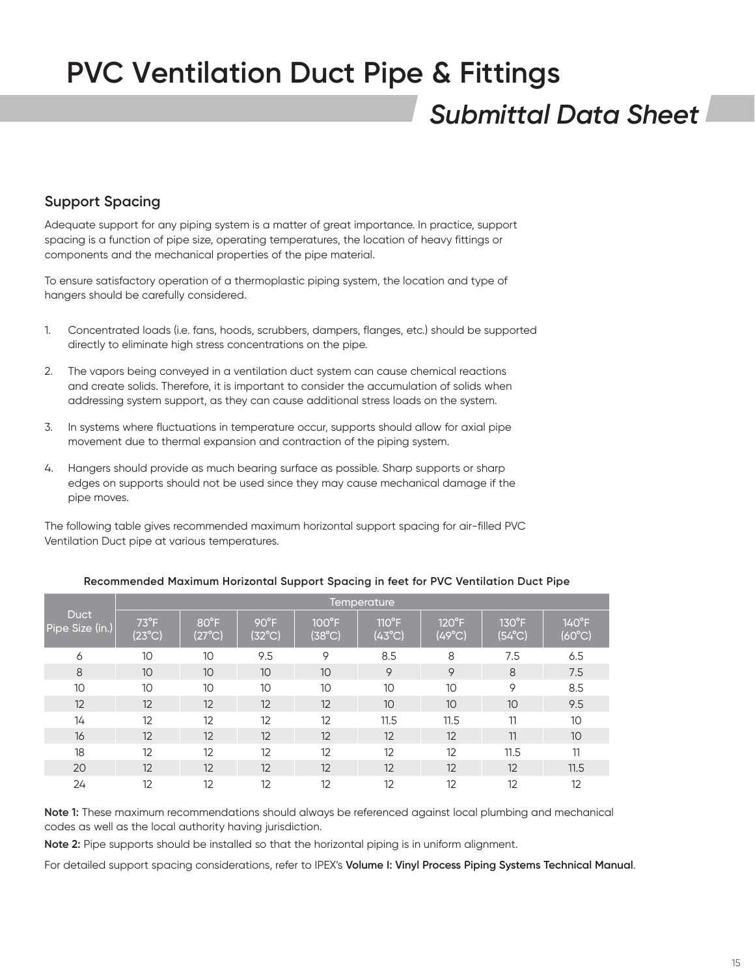### *Submittal Data Sheet*

### **Support Spacing**

Adequate support for any piping system is a matter of great importance. In practice, support spacing is a function of pipe size, operating temperatures, the location of heavy fittings or components and the mechanical properties of the pipe material.

To ensure satisfactory operation of a thermoplastic piping system, the location and type of hangers should be carefully considered.

- 1. Concentrated loads (i.e. fans, hoods, scrubbers, dampers, flanges, etc.) should be supported directly to eliminate high stress concentrations on the pipe.
- 2. The vapors being conveyed in a ventilation duct system can cause chemical reactions and create solids. Therefore, it is important to consider the accumulation of solids when addressing system support, as they can cause additional stress loads on the system.
- 3. In systems where fluctuations in temperature occur, supports should allow for axial pipe movement due to thermal expansion and contraction of the piping system.
- 4. Hangers should provide as much bearing surface as possible. Sharp supports or sharp edges on supports should not be used since they may cause mechanical damage if the pipe moves.

The following table gives recommended maximum horizontal support spacing for air-filled PVC Ventilation Duct pipe at various temperatures.

|                                | <b>Temperature</b>               |                                   |                                   |                                    |                                    |                                   |                                    |                                    |
|--------------------------------|----------------------------------|-----------------------------------|-----------------------------------|------------------------------------|------------------------------------|-----------------------------------|------------------------------------|------------------------------------|
| <b>Duct</b><br>Pipe Size (in.) | $73^{\circ}F$<br>$(23^{\circ}C)$ | $80^{\circ}$ F<br>$(27^{\circ}C)$ | $90^{\circ}$ F<br>$(32^{\circ}C)$ | $100^{\circ}$ F<br>$(38^{\circ}C)$ | $110^{\circ}$ F<br>$(43^{\circ}C)$ | $120^{\circ}F$<br>$(49^{\circ}C)$ | $130^{\circ}$ F<br>$(54^{\circ}C)$ | $140^{\circ}$ F<br>$(60^{\circ}C)$ |
| 6                              | 10                               | 10                                | 9.5                               | 9                                  | 8.5                                | 8                                 | 7.5                                | 6.5                                |
| 8                              | 10                               | 10                                | 10                                | 10                                 | 9                                  | 9                                 | 8                                  | 7.5                                |
| 10                             | 10                               | 10                                | 10                                | 10                                 | 10                                 | 10                                | 9                                  | 8.5                                |
| 12                             | 12                               | 12                                | 12                                | 12                                 | 10                                 | 10                                | 10                                 | 9.5                                |
| 14                             | 12                               | 12                                | 12                                | 12                                 | 11.5                               | 11.5                              | 11                                 | 10                                 |
| 16                             | 12                               | 12                                | 12                                | 12                                 | 12                                 | 12                                | 11                                 | 10                                 |
| 18                             | 12                               | 12                                | 12                                | 12                                 | 12                                 | 12                                | 11.5                               | 11                                 |
| 20                             | 12                               | 12                                | 12                                | 12                                 | 12                                 | 12                                | 12                                 | 11.5                               |
| 24                             | 12                               | 12                                | 12                                | 12                                 | 12                                 | 12                                | 12                                 | 12                                 |

#### **Recommended Maximum Horizontal Support Spacing in feet for PVC Ventilation Duct Pipe**

**Note 1:** These maximum recommendations should always be referenced against local plumbing and mechanical codes as well as the local authority having jurisdiction.

**Note 2:** Pipe supports should be installed so that the horizontal piping is in uniform alignment.

For detailed support spacing considerations, refer to IPEX's **Volume I: Vinyl Process Piping Systems Technical Manual**.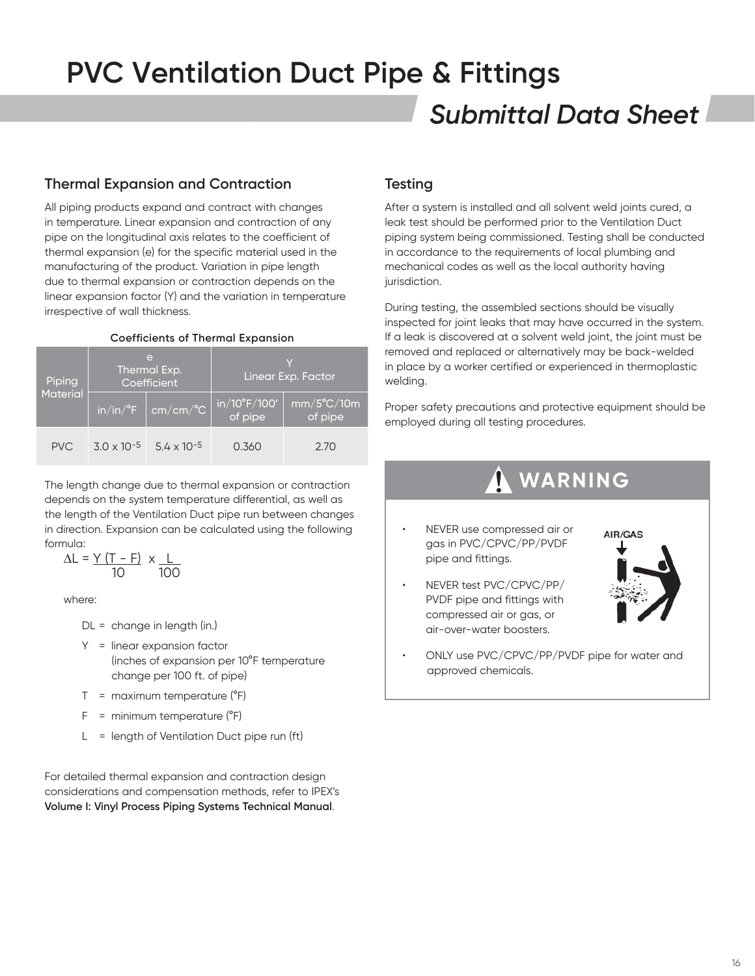### *Submittal Data Sheet* **PVC Ventilation Duct Pipe & Fittings**

### **Thermal Expansion and Contraction**

All piping products expand and contract with changes in temperature. Linear expansion and contraction of any pipe on the longitudinal axis relates to the coefficient of thermal expansion (e) for the specific material used in the manufacturing of the product. Variation in pipe length due to thermal expansion or contraction depends on the linear expansion factor (Y) and the variation in temperature irrespective of wall thickness.

#### **Coefficients of Thermal Expansion**

| Piping          |                      | e<br>Thermal Exp.<br>Coefficient                    | Linear Exp. Factor      |                                 |  |
|-----------------|----------------------|-----------------------------------------------------|-------------------------|---------------------------------|--|
| <b>Material</b> |                      | $\frac{\pi}{10}$ in/in/°F $\frac{\pi}{10}$ cm/cm/°C | in/10°F/100'<br>of pipe | $mm/5^{\circ}$ C/10m<br>of pipe |  |
| PVC.            | $3.0 \times 10^{-5}$ | $5.4 \times 10^{-5}$                                | 0.360                   | 2.70                            |  |

The length change due to thermal expansion or contraction depends on the system temperature differential, as well as the length of the Ventilation Duct pipe run between changes in direction. Expansion can be calculated using the following formula:

$$
\Delta L = \frac{Y (T - F)}{10} \times \frac{L}{100}
$$

where:

DL = change in length (in.)

- Y = linear expansion factor (inches of expansion per 10°F temperature change per 100 ft. of pipe)
- $T =$  maximum temperature ( $^{\circ}F$ )
- $F =$  minimum temperature ( $^{\circ}F$ )
- L = length of Ventilation Duct pipe run (ft)

For detailed thermal expansion and contraction design considerations and compensation methods, refer to IPEX's **Volume I: Vinyl Process Piping Systems Technical Manual**.

### **Testing**

After a system is installed and all solvent weld joints cured, a leak test should be performed prior to the Ventilation Duct piping system being commissioned. Testing shall be conducted in accordance to the requirements of local plumbing and mechanical codes as well as the local authority having jurisdiction.

During testing, the assembled sections should be visually inspected for joint leaks that may have occurred in the system. If a leak is discovered at a solvent weld joint, the joint must be removed and replaced or alternatively may be back-welded in place by a worker certified or experienced in thermoplastic welding.

Proper safety precautions and protective equipment should be employed during all testing procedures.

### **WARNING**

- NEVER use compressed air or gas in PVC/CPVC/PP/PVDF pipe and fittings.
- NEVER test PVC/CPVC/PP/ PVDF pipe and fittings with compressed air or gas, or air-over-water boosters.



• ONLY use PVC/CPVC/PP/PVDF pipe for water and approved chemicals.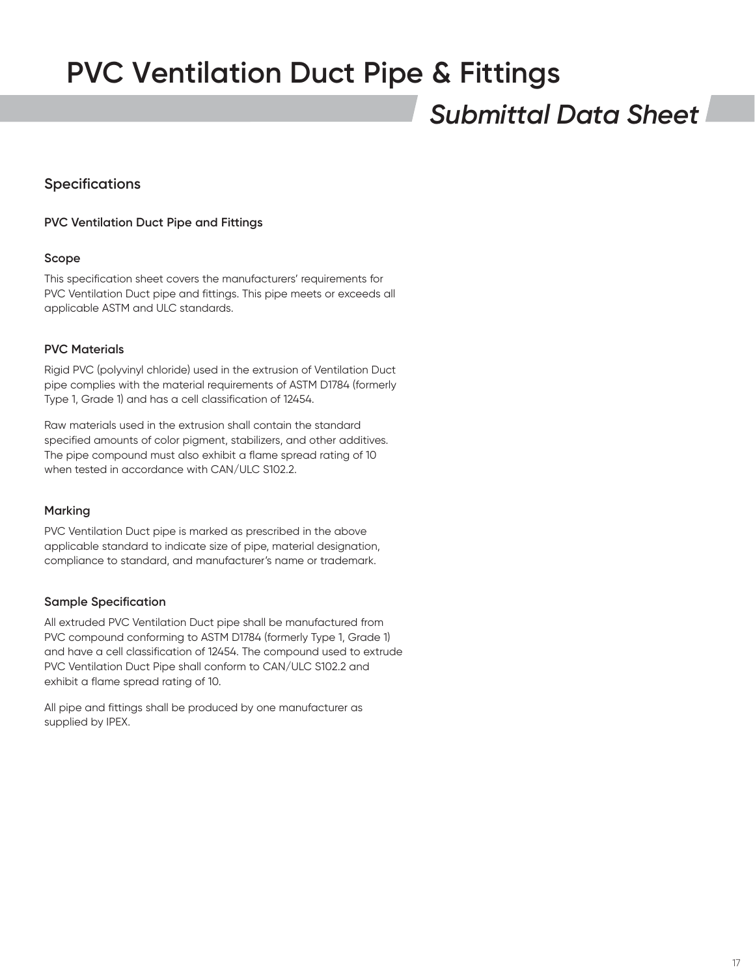### *Submittal Data Sheet*

### **Specifications**

#### **PVC Ventilation Duct Pipe and Fittings**

#### **Scope**

This specification sheet covers the manufacturers' requirements for PVC Ventilation Duct pipe and fittings. This pipe meets or exceeds all applicable ASTM and ULC standards.

#### **PVC Materials**

Rigid PVC (polyvinyl chloride) used in the extrusion of Ventilation Duct pipe complies with the material requirements of ASTM D1784 (formerly Type 1, Grade 1) and has a cell classification of 12454.

Raw materials used in the extrusion shall contain the standard specified amounts of color pigment, stabilizers, and other additives. The pipe compound must also exhibit a flame spread rating of 10 when tested in accordance with CAN/ULC S102.2.

#### **Marking**

PVC Ventilation Duct pipe is marked as prescribed in the above applicable standard to indicate size of pipe, material designation, compliance to standard, and manufacturer's name or trademark.

#### **Sample Specification**

All extruded PVC Ventilation Duct pipe shall be manufactured from PVC compound conforming to ASTM D1784 (formerly Type 1, Grade 1) and have a cell classification of 12454. The compound used to extrude PVC Ventilation Duct Pipe shall conform to CAN/ULC S102.2 and exhibit a flame spread rating of 10.

All pipe and fittings shall be produced by one manufacturer as supplied by IPEX.